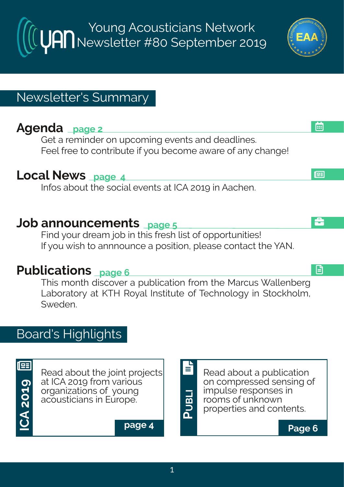Young Acousticians Network Newsletter #80 September 2019

# Newsletter's Summary

# **Agenda page 2**

Get a reminder on upcoming events and deadlines. Feel free to contribute if you become aware of any change!

### **Local News page 4**

Infos about the social events at ICA 2019 in Aachen.

### **Job announcements page 5**

Find your dream job in this fresh list of opportunities! If you wish to annnounce a position, please contact the YAN.

### **Publications page 6**

This month discover a publication from the Marcus Wallenberg Laboratory at KTH Royal Institute of Technology in Stockholm, Sweden.

# Board's Highlights



Read about the joint projects at ICA 2019 from various organizations of young acousticians in Europe.



Read about a publication on compressed sensing of impulse responses in rooms of unknown properties and contents.

### **page 4 Page 6**

l⊞

画

£

日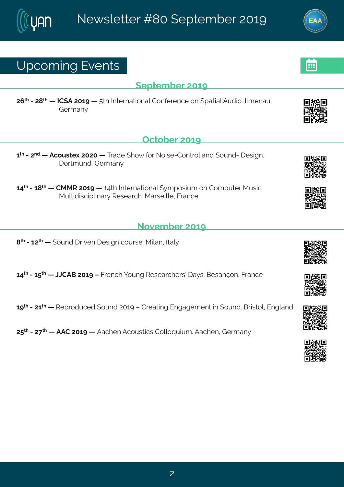### Yt gsq mk#zi r xw

#### $(i$ t xig fiv#56>

7;  $\frac{\cancel{x}}{2}$  #  $\frac{\cancel{x}}{2}$  #  $\frac{\cancel{x}}{2}$  #  $\frac{\cancel{x}}{2}$  #  $\frac{\cancel{x}}{2}$  #  $\cancel{x}$  #  $\cancel{x}$  +  $\cancel{x}$  +  $\cancel{x}$  +  $\cancel{x}$  +  $\cancel{x}$  +  $\cancel{x}$  +  $\cancel{x}$  +  $\cancel{x}$  +  $\cancel{x}$  +  $\cancel{x}$  +  $\cancel{x}$  +  $\cancel{x}$  +  $\cancel{x}$  +  $\cancel{x}$  +  $\cancel{x}$  +  $\cancel{x$  $L$ i vq er $\}$ 

### Taxsfiv#56>

6<sup>xl</sup>#2#T<sup>rh</sup># #Fgsywxi|#7575# #Xvehi#, Is{#;sv#Ssmwi2Hsrxvsp#erh#(syrh2#liwnknr3# I swg yrh#Livger}

 $69^{\text{d}}$ #246= $^{\text{d}}$ # #HRRW#756># #69xl#Ntxivrexmsrep# }qtswmyq#sr#Hsqtyxiv#Rywmg# Ryprinmygrinpinev} #W wi evgl 3R ewi mpi 1# wer gi

#### Sszigfiw#56>

 $=$ <sup>xi</sup> #2#67<sup>xi</sup> # # syrh# vnzir# i wnkr#gsywi 3#R moer #Axlep}

69<sup>xl</sup> #246: <sup>xl</sup> # #300HFG#756># #Kvirgl #lsyrk #Wl wievgl iww#l e}w3#Giwerl sr1#Kvergi

6> \*#2#76 \*# #Wit vshygih#syrh#756>##Hviexmk#Jrkekiq irx#m#syrh3#Gwnwsp1#Jrkperh

7:  $\frac{d}{dx}$  # # FFH#756># #Feglir#Fgsywomgw#Hsposuymyq 3Ffeglir # Livq er }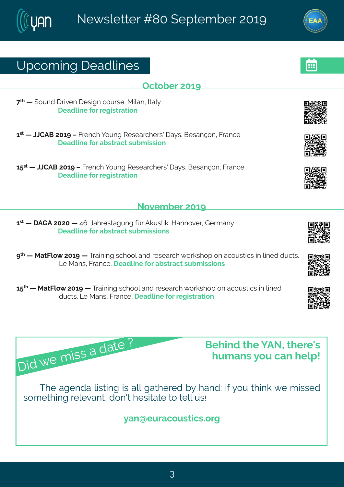# Yt gsq mk# i ehpni w

#### Taxsfiv#56>

 $\langle \times^{\mathcal{A}}$  # # syrh# voznir# i whkr#gsywi3AR mper#Axlep} I i ehpni #sw#i knowexmsr#

6<sup>w</sup># #DOHFG#756># #Kvirgl#tsyrk#Wiwievgliw#le}w&Giwerĺsr#Kvergi I i ehpni #sv#ef wwegx#wyf g mwnsr#

6: W# #COOHFG#756>##Kvirgl#tsyrk#Wlwievgliww#le}w&nGiwerlsr#Kwergi I i ehpni #sv#i knowexmsr

#### $Sszi$  a f i  $\sqrt{4756}$

6<sup>w</sup> # FLF#7575# #9; 3KDel viwwekyrk# äv#Foywwno33Merrsziv #Livqer} I i ehpni #sv#ef wwegx#wyf g mwnsr w

> # #RexKps{ #756># # Xvem m k# vgl ssp#erh# i wievgl # svowl st#sr#egsywwmgw#m#pm i h# hygxw # Q #Rerw#Kvergi # i ehpni #sv#efwwegx#wyf q mwnsrw

6:  $\frac{1}{4}$  #  $\frac{1}{4}$  RexKps{  $\frac{1}{4}$  56> $\frac{1}{4}$   $\frac{1}{2}$   $\frac{1}{2}$   $\frac{1}{2}$   $\frac{1}{2}$   $\frac{1}{2}$   $\frac{1}{2}$   $\frac{1}{2}$   $\frac{1}{2}$   $\frac{1}{2}$   $\frac{1}{2}$   $\frac{1}{2}$   $\frac{1}{2}$   $\frac{1}{2}$   $\frac{1}{2}$   $\frac{1}{2}$   $\frac{1}{2}$   $\frac{1$ hygxword #Rerw#Kwergi ## i ehpni #sw#i knowwexmar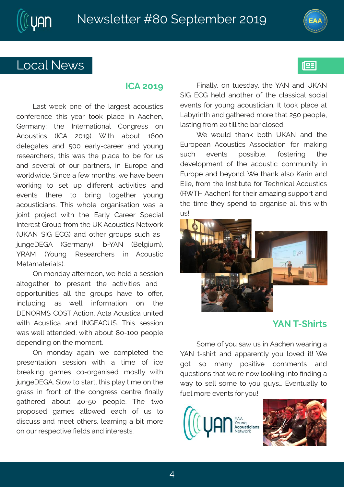



# Local News

#### **ICA 2019**

Last week one of the largest acoustics conference this year took place in Aachen, Germany: the International Congress on Acoustics (ICA 2019). With about 1600 delegates and 500 early-career and young researchers, this was the place to be for us and several of our partners, in Europe and worldwide. Since a few months, we have been working to set up different activities and events there to bring together young acousticians. This whole organisation was a joint project with the Early Career Special Interest Group from the UK Acoustics Network (UKAN SIG ECG) and other groups such as jungeDEGA (Germany), b-YAN (Belgium), YRAM (Young Researchers in Acoustic Metamaterials).

On monday afternoon, we held a session altogether to present the activities and opportunities all the groups have to offer, including as well information on the DENORMS COST Action, Acta Acustica united with Acustica and INGEACUS. This session was well attended, with about 80-100 people depending on the moment.

On monday again, we completed the presentation session with a time of ice breaking games co-organised mostly with jungeDEGA. Slow to start, this play time on the grass in front of the congress centre finally gathered about 40-50 people. The two proposed games allowed each of us to discuss and meet others, learning a bit more on our respective fields and interests.



Finally, on tuesday, the YAN and UKAN SIG ECG held another of the classical social events for young acoustician. It took place at Labyrinth and gathered more that 250 people, lasting from 20 till the bar closed.

We would thank both UKAN and the European Acoustics Association for making such events possible, fostering the development of the acoustic community in Europe and beyond. We thank also Karin and Elie, from the Institute for Technical Acoustics (RWTH Aachen) for their amazing support and the time they spend to organise all this with us!



### **YAN T-Shirts**

Some of you saw us in Aachen wearing a YAN t-shirt and apparently you loved it! We got so many positive comments and questions that we're now looking into finding a way to sell some to you guys… Eventually to fuel more events for you!



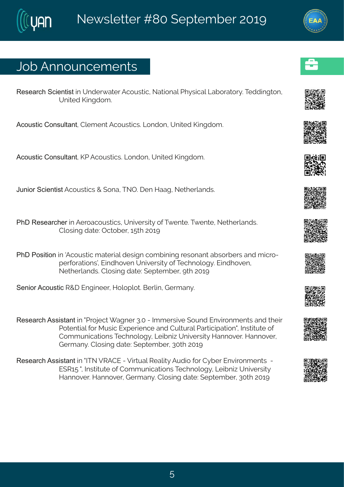### Osf#Frrsyrgiqirxw

#m#Yrhiv{exiv#Fgsywwmg1#Sexmsrep#UI}wmgep#Qefsvexsv}33Kihhmkxsr1# Yrmih#Pmkhsa 3

14Hpigirx4Fgsywmono&Csrhsr14Yrmah4Pmkhsg3

1PUFF asyword wangs her 14 Yrmih #Pmkhsq 3

#Fgsywwmgw#+#sre1#XST3#ir#Meek1#Sixlivperhw3

#m:#Fivsegsywwogw1#Yrmziwnx):#sj#X{irxi3#X{irxi1#Sixlivperhw3 Hps wink #hexi?  $\pi$  gxs f i  $\sqrt{46}$ : xl  $\pi/56$ 

#m#Fgsywnog#gexivmep#hiwnkar#gsgfmnnnk#viwsrerx#efwsvfiw#erh#gmos2 tivisvexmsrw3t#lmnhlszir#Yrmziwwn4;#si#Xiglrspsk}3#lmnhlszir#/ SixlivgerhwollHpswnnk#hexi?#itxigfiv#bxl#756>

#W+I#Jrkmiiv#Mspstpsx3#Givpm1#Livqer}3

#m#%,UNsnigx#lekriv#835#2#Nqgiwnzni#(syrh#Jrznwsrgirxw#erh#vlimw# Us xi r xnep #s v R y wrop#J t i v mir g i #er h #Hy p y vep # Jew monthe x s n % Bh www. x i #s j # Hsqqvrmoexnsrw#Xqlrspsk}14Qmfnrm=AYrmziwwn $\frac{1}{2}$ Merrsziw3AMerrsziw# Livqer} 3Hpswnnk#hexi?#(itxiqfiv#85xl#756>

#m#??XS#ZWFHJ#2#Zmxyep#Wiepno}#Fyhnsn#jsw#H}fiv#Urzmwsrqirxw##2# J (W6:#%HAN www.xyxi#sj#Hsqqyrmgexmsrw#Xiglrspsk}#Qimfrn=4#Yrmziwwnx}# Merrszi WaMerrszi V#Livger} 3Hpswnnk#hexi?#itxigfi V#85xl#756>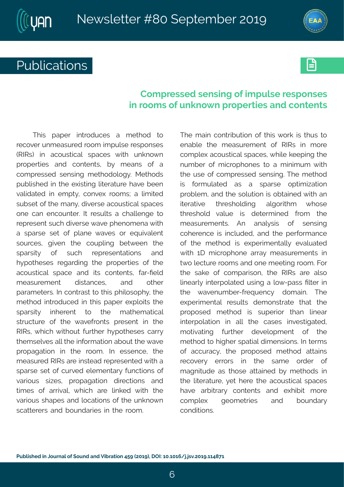# Publications **Publications**

UAN



### **Compressed sensing of impulse responses in rooms of unknown properties and contents**

This paper introduces a method to recover unmeasured room impulse responses (RIRs) in acoustical spaces with unknown properties and contents, by means of a compressed sensing methodology. Methods published in the existing literature have been validated in empty, convex rooms; a limited subset of the many, diverse acoustical spaces one can encounter. It results a challenge to represent such diverse wave phenomena with a sparse set of plane waves or equivalent sources, given the coupling between the sparsity of such representations and hypotheses regarding the properties of the acoustical space and its contents, far-field measurement distances, and other parameters. In contrast to this philosophy, the method introduced in this paper exploits the sparsity inherent to the mathematical structure of the wavefronts present in the RIRs, which without further hypotheses carry themselves all the information about the wave propagation in the room. In essence, the measured RIRs are instead represented with a sparse set of curved elementary functions of various sizes, propagation directions and times of arrival, which are linked with the various shapes and locations of the unknown scatterers and boundaries in the room.

The main contribution of this work is thus to enable the measurement of RIRs in more complex acoustical spaces, while keeping the number of microphones to a minimum with the use of compressed sensing. The method is formulated as a sparse optimization problem, and the solution is obtained with an iterative thresholding algorithm whose threshold value is determined from the measurements. An analysis of sensing coherence is included, and the performance of the method is experimentally evaluated with 1D microphone array measurements in two lecture rooms and one meeting room. For the sake of comparison, the RIRs are also linearly interpolated using a low-pass filter in the wavenumber-frequency domain. The experimental results demonstrate that the proposed method is superior than linear interpolation in all the cases investigated, motivating further development of the method to higher spatial dimensions. In terms of accuracy, the proposed method attains recovery errors in the same order of magnitude as those attained by methods in the literature, yet here the acoustical spaces have arbitrary contents and exhibit more complex geometries and boundary conditions.